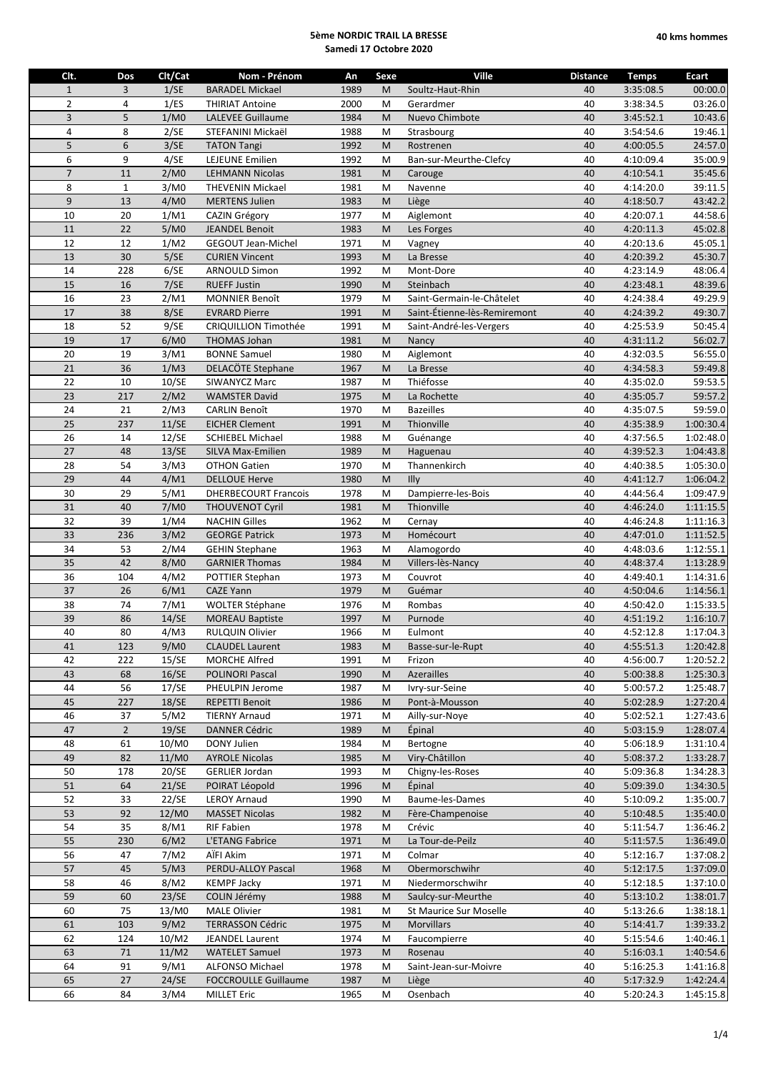| Clt.           | Dos            | Clt/Cat       | Nom - Prénom                | An   | Sexe | Ville                        | <b>Distance</b> | <b>Temps</b> | Ecart     |
|----------------|----------------|---------------|-----------------------------|------|------|------------------------------|-----------------|--------------|-----------|
| $\mathbf{1}$   | 3              | 1/SE          | <b>BARADEL Mickael</b>      | 1989 | M    | Soultz-Haut-Rhin             | 40              | 3:35:08.5    | 00:00.0   |
| $\overline{2}$ | 4              | 1/ES          | <b>THIRIAT Antoine</b>      | 2000 | M    | Gerardmer                    | 40              | 3:38:34.5    | 03:26.0   |
| $\overline{3}$ | 5              | 1/M0          | <b>LALEVEE Guillaume</b>    | 1984 | M    | Nuevo Chimbote               | 40              | 3:45:52.1    | 10:43.6   |
| $\overline{4}$ | 8              | 2/SE          | STEFANINI Mickaël           | 1988 | M    | Strasbourg                   | 40              | 3:54:54.6    | 19:46.1   |
| 5              | 6              | 3/SE          | <b>TATON Tangi</b>          | 1992 | M    | Rostrenen                    | 40              | 4:00:05.5    | 24:57.0   |
| 6              | 9              | 4/SE          | <b>LEJEUNE Emilien</b>      | 1992 | M    | Ban-sur-Meurthe-Clefcy       | 40              | 4:10:09.4    | 35:00.9   |
| $\overline{7}$ | 11             | 2/M0          | <b>LEHMANN Nicolas</b>      | 1981 | M    | Carouge                      | 40              | 4:10:54.1    | 35:45.6   |
| 8              | $\mathbf{1}$   | 3/M0          | THEVENIN Mickael            | 1981 | M    | Navenne                      | 40              | 4:14:20.0    | 39:11.5   |
| 9              | 13             | 4/M0          | <b>MERTENS Julien</b>       | 1983 | M    | Liège                        | 40              | 4:18:50.7    | 43:42.2   |
| 10             | 20             | 1/M1          | CAZIN Grégory               | 1977 | M    | Aiglemont                    | 40              | 4:20:07.1    | 44:58.6   |
| 11             | 22             | 5/M0          | <b>JEANDEL Benoit</b>       | 1983 | M    | Les Forges                   | 40              | 4:20:11.3    | 45:02.8   |
| 12             | 12             | 1/M2          | <b>GEGOUT Jean-Michel</b>   | 1971 | M    | Vagney                       | 40              | 4:20:13.6    | 45:05.1   |
| 13             | 30             | 5/SE          | <b>CURIEN Vincent</b>       | 1993 | M    | La Bresse                    | 40              | 4:20:39.2    | 45:30.7   |
| 14             | 228            | 6/SE          | <b>ARNOULD Simon</b>        | 1992 | M    | Mont-Dore                    | 40              | 4:23:14.9    | 48:06.4   |
| 15             | 16             | 7/SE          | <b>RUEFF Justin</b>         | 1990 | M    | Steinbach                    | 40              | 4:23:48.1    | 48:39.6   |
| 16             | 23             | 2/M1          | <b>MONNIER Benoît</b>       | 1979 | M    | Saint-Germain-le-Châtelet    | 40              | 4:24:38.4    | 49:29.9   |
| 17             | 38             | 8/SE          | <b>EVRARD Pierre</b>        | 1991 | M    | Saint-Étienne-lès-Remiremont | 40              | 4:24:39.2    | 49:30.7   |
| 18             | 52             | 9/SE          | <b>CRIQUILLION Timothée</b> | 1991 | M    | Saint-André-les-Vergers      | 40              | 4:25:53.9    | 50:45.4   |
| 19             | 17             | 6/M0          | <b>THOMAS Johan</b>         | 1981 | M    | Nancy                        | 40              | 4:31:11.2    | 56:02.7   |
| 20             | 19             | 3/M1          | <b>BONNE Samuel</b>         | 1980 | M    | Aiglemont                    | 40              | 4:32:03.5    | 56:55.0   |
| 21             | 36             | 1/M3          | DELACÖTE Stephane           | 1967 | M    | La Bresse                    | 40              | 4:34:58.3    | 59:49.8   |
| 22             | 10             | 10/SE         | SIWANYCZ Marc               | 1987 | M    | Thiéfosse                    | 40              | 4:35:02.0    | 59:53.5   |
| 23             | 217            | 2/M2          | <b>WAMSTER David</b>        | 1975 | M    | La Rochette                  | 40              | 4:35:05.7    | 59:57.2   |
| 24             | 21             | 2/M3          | <b>CARLIN Benoît</b>        | 1970 | M    | <b>Bazeilles</b>             | 40              | 4:35:07.5    | 59:59.0   |
| 25             | 237            | 11/SE         | <b>EICHER Clement</b>       | 1991 | M    | Thionville                   | 40              | 4:35:38.9    | 1:00:30.4 |
| 26             | 14             | 12/SE         | <b>SCHIEBEL Michael</b>     | 1988 | M    | Guénange                     | 40              | 4:37:56.5    | 1:02:48.0 |
| 27             | 48             | 13/SE         | <b>SILVA Max-Emilien</b>    | 1989 | M    | Haguenau                     | 40              | 4:39:52.3    | 1:04:43.8 |
| 28             | 54             | 3/M3          | <b>OTHON Gatien</b>         | 1970 | M    | Thannenkirch                 | 40              | 4:40:38.5    | 1:05:30.0 |
| 29             | 44             | 4/M1          | <b>DELLOUE Herve</b>        | 1980 | M    | Illy                         | 40              | 4:41:12.7    | 1:06:04.2 |
| 30             | 29             | 5/M1          | <b>DHERBECOURT Francois</b> | 1978 | M    | Dampierre-les-Bois           | 40              | 4:44:56.4    | 1:09:47.9 |
| 31             | 40             | 7/M0          | <b>THOUVENOT Cyril</b>      | 1981 | M    | Thionville                   | 40              | 4:46:24.0    | 1:11:15.5 |
| 32             | 39             | 1/M4          | <b>NACHIN Gilles</b>        | 1962 | M    | Cernay                       | 40              | 4:46:24.8    | 1:11:16.3 |
| 33             | 236            | 3/M2          | <b>GEORGE Patrick</b>       | 1973 | M    | Homécourt                    | 40              | 4:47:01.0    | 1:11:52.5 |
| 34             | 53             | 2/M4          | <b>GEHIN Stephane</b>       | 1963 | M    | Alamogordo                   | 40              | 4:48:03.6    | 1:12:55.1 |
| 35             | 42             | 8/M0          | <b>GARNIER Thomas</b>       | 1984 | M    | Villers-lès-Nancy            | 40              | 4:48:37.4    | 1:13:28.9 |
| 36             | 104            | 4/M2          | POTTIER Stephan             | 1973 | M    | Couvrot                      | 40              | 4:49:40.1    | 1:14:31.6 |
| 37             | 26             | 6/M1          | <b>CAZE Yann</b>            | 1979 | M    | Guémar                       | 40              | 4:50:04.6    | 1:14:56.1 |
| 38             | 74             | 7/M1          | <b>WOLTER Stéphane</b>      | 1976 | M    | Rombas                       | 40              | 4:50:42.0    | 1:15:33.5 |
| 39             | 86             | 14/SE         | <b>MOREAU Baptiste</b>      | 1997 | M    | Purnode                      | 40              | 4:51:19.2    | 1:16:10.7 |
| 40             | 80             | 4/M3          | RULQUIN Olivier             | 1966 | M    | Eulmont                      | 40              | 4:52:12.8    | 1:17:04.3 |
| 41             | 123            | 9/M0          | <b>CLAUDEL Laurent</b>      | 1983 | M    | Basse-sur-le-Rupt            | 40              | 4:55:51.3    | 1:20:42.8 |
| 42             | 222            | 15/SE         | MORCHE Alfred               | 1991 | M    | Frizon                       | 40              | 4:56:00.7    | 1:20:52.2 |
| 43             | 68             | 16/SE         | <b>POLINORI Pascal</b>      | 1990 | M    | Azerailles                   | 40              | 5:00:38.8    | 1:25:30.3 |
| 44             | 56             | 17/SE         | PHEULPIN Jerome             | 1987 | M    | Ivry-sur-Seine               | 40              | 5:00:57.2    | 1:25:48.7 |
| 45             | 227            | 18/SE         | <b>REPETTI Benoit</b>       | 1986 | M    | Pont-à-Mousson               | 40              | 5:02:28.9    | 1:27:20.4 |
| 46             | 37             | 5/M2          | <b>TIERNY Arnaud</b>        | 1971 | M    | Ailly-sur-Noye               | 40              | 5:02:52.1    | 1:27:43.6 |
| 47             | $\overline{2}$ | 19/SE         | <b>DANNER Cédric</b>        | 1989 | M    | Épinal                       | 40              | 5:03:15.9    | 1:28:07.4 |
| 48             | 61             | 10/M0         | DONY Julien                 | 1984 | M    | Bertogne                     | 40              | 5:06:18.9    | 1:31:10.4 |
| 49             | 82             | 11/M0         | <b>AYROLE Nicolas</b>       | 1985 | M    | Viry-Châtillon               | 40              | 5:08:37.2    | 1:33:28.7 |
| 50             | 178            | 20/SE         | <b>GERLIER Jordan</b>       | 1993 | M    | Chigny-les-Roses             | 40              | 5:09:36.8    | 1:34:28.3 |
| 51             | 64             | 21/SE         | POIRAT Léopold              | 1996 | M    | Epinal                       | 40              | 5:09:39.0    | 1:34:30.5 |
| 52             | 33             | 22/SE         | <b>LEROY Arnaud</b>         | 1990 | M    | Baume-les-Dames              | 40              | 5:10:09.2    | 1:35:00.7 |
| 53             | 92             | 12/M0         | <b>MASSET Nicolas</b>       | 1982 | M    | Fère-Champenoise             | 40              | 5:10:48.5    | 1:35:40.0 |
| 54             | 35             | 8/M1          | <b>RIF Fabien</b>           | 1978 | M    | Crévic                       | 40              | 5:11:54.7    | 1:36:46.2 |
| 55             | 230            | 6/M2          | L'ETANG Fabrice             | 1971 | M    | La Tour-de-Peilz             | 40              | 5:11:57.5    | 1:36:49.0 |
| 56             | 47             | 7/M2          | AÏFI Akim                   | 1971 | M    | Colmar                       | 40              | 5:12:16.7    | 1:37:08.2 |
| 57             | 45             | 5/M3          | PERDU-ALLOY Pascal          | 1968 | M    | Obermorschwihr               | 40              | 5:12:17.5    | 1:37:09.0 |
| 58             | 46             | 8/M2          | <b>KEMPF Jacky</b>          | 1971 | M    | Niedermorschwihr             | 40              | 5:12:18.5    | 1:37:10.0 |
| 59             | 60             | 23/SE         | COLIN Jérémy                | 1988 | M    | Saulcy-sur-Meurthe           | 40              | 5:13:10.2    | 1:38:01.7 |
| 60             | 75             | 13/M0         | <b>MALE Olivier</b>         | 1981 | M    | St Maurice Sur Moselle       | 40              | 5:13:26.6    | 1:38:18.1 |
| 61             | 103            | 9/M2          | <b>TERRASSON Cédric</b>     | 1975 | M    | <b>Morvillars</b>            | 40              | 5:14:41.7    | 1:39:33.2 |
| 62             | 124            | 10/M2         | <b>JEANDEL Laurent</b>      | 1974 | M    | Faucompierre                 | 40              | 5:15:54.6    | 1:40:46.1 |
| 63             | 71             | 11/M2         | <b>WATELET Samuel</b>       | 1973 | M    | Rosenau                      | 40              | 5:16:03.1    | 1:40:54.6 |
| 64<br>65       | 91             | 9/M1          | ALFONSO Michael             | 1978 | M    | Saint-Jean-sur-Moivre        | 40              | 5:16:25.3    | 1:41:16.8 |
|                | 27             | 24/SE<br>3/M4 | <b>FOCCROULLE Guillaume</b> | 1987 | M    | Liège                        | 40              | 5:17:32.9    | 1:42:24.4 |
| 66             | 84             |               | <b>MILLET Eric</b>          | 1965 | M    | Osenbach                     | 40              | 5:20:24.3    | 1:45:15.8 |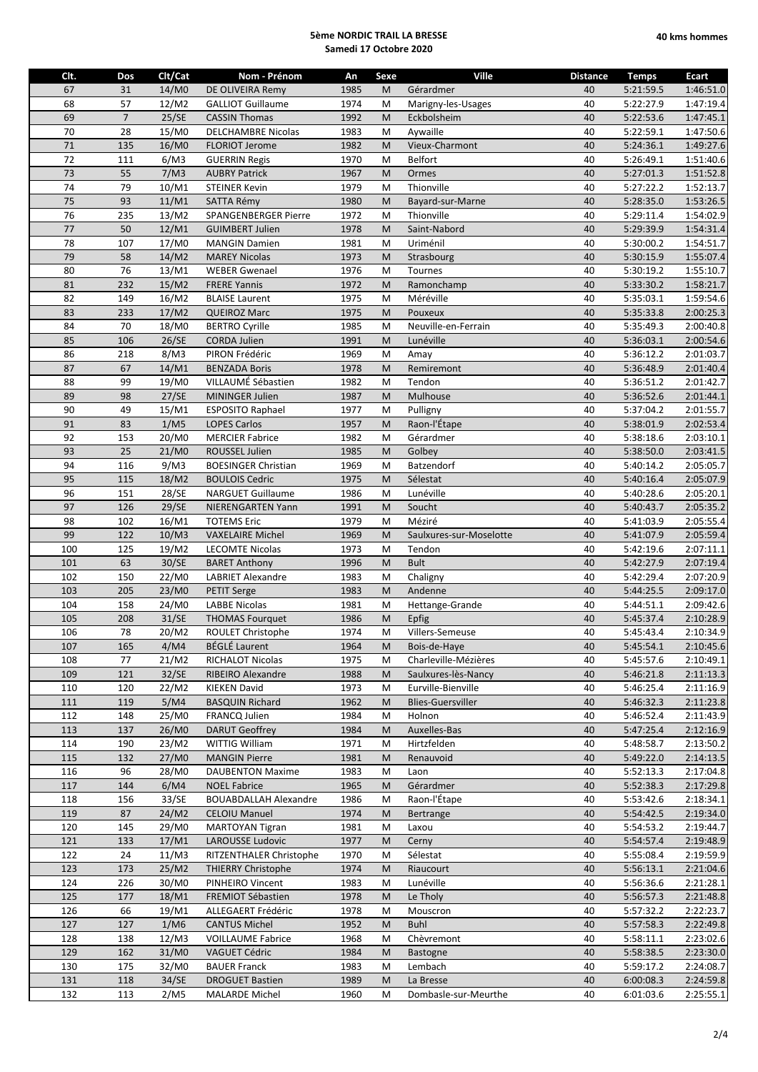| Clt. | Dos            | Clt/Cat           | Nom - Prénom                 | An   | Sexe | Ville                    | <b>Distance</b> | <b>Temps</b> | Ecart     |
|------|----------------|-------------------|------------------------------|------|------|--------------------------|-----------------|--------------|-----------|
| 67   | 31             | 14/M0             | DE OLIVEIRA Remy             | 1985 | M    | Gérardmer                | 40              | 5:21:59.5    | 1:46:51.0 |
| 68   | 57             | 12/M2             | <b>GALLIOT Guillaume</b>     | 1974 | M    | Marigny-les-Usages       | 40              | 5:22:27.9    | 1:47:19.4 |
| 69   | $\overline{7}$ | 25/SE             | <b>CASSIN Thomas</b>         | 1992 | M    | Eckbolsheim              | 40              | 5:22:53.6    | 1:47:45.1 |
| 70   | 28             | 15/M0             | <b>DELCHAMBRE Nicolas</b>    | 1983 | M    | Aywaille                 | 40              | 5:22:59.1    | 1:47:50.6 |
| 71   | 135            | 16/M0             | <b>FLORIOT Jerome</b>        | 1982 | M    | Vieux-Charmont           | 40              | 5:24:36.1    | 1:49:27.6 |
| 72   | 111            | 6/M3              | <b>GUERRIN Regis</b>         | 1970 | M    | Belfort                  | 40              | 5:26:49.1    | 1:51:40.6 |
| 73   | 55             | 7/M3              | <b>AUBRY Patrick</b>         | 1967 | M    | Ormes                    | 40              | 5:27:01.3    | 1:51:52.8 |
| 74   | 79             | 10/M1             | <b>STEINER Kevin</b>         | 1979 | M    | Thionville               | 40              | 5:27:22.2    | 1:52:13.7 |
| 75   | 93             | 11/M1             | <b>SATTA Rémy</b>            | 1980 | M    | Bayard-sur-Marne         | 40              | 5:28:35.0    | 1:53:26.5 |
| 76   | 235            | 13/M2             | SPANGENBERGER Pierre         | 1972 | M    | Thionville               | 40              | 5:29:11.4    | 1:54:02.9 |
| 77   | 50             | 12/M1             | <b>GUIMBERT Julien</b>       | 1978 | M    | Saint-Nabord             | 40              | 5:29:39.9    | 1:54:31.4 |
| 78   | 107            | 17/M0             | <b>MANGIN Damien</b>         | 1981 | M    | Uriménil                 | 40              | 5:30:00.2    | 1:54:51.7 |
| 79   | 58             | 14/M2             | <b>MAREY Nicolas</b>         | 1973 | M    | Strasbourg               | 40              | 5:30:15.9    | 1:55:07.4 |
| 80   | 76             | 13/M1             | <b>WEBER Gwenael</b>         | 1976 | M    | Tournes                  | 40              | 5:30:19.2    | 1:55:10.7 |
| 81   | 232            | 15/M2             | <b>FRERE Yannis</b>          | 1972 | M    | Ramonchamp               | 40              | 5:33:30.2    | 1:58:21.7 |
| 82   | 149            | 16/M2             | <b>BLAISE Laurent</b>        | 1975 | M    | Méréville                | 40              | 5:35:03.1    | 1:59:54.6 |
| 83   | 233            | 17/M2             | <b>QUEIROZ Marc</b>          | 1975 | M    | Pouxeux                  | 40              | 5:35:33.8    | 2:00:25.3 |
| 84   | 70             | 18/M0             | <b>BERTRO Cyrille</b>        | 1985 | M    | Neuville-en-Ferrain      | 40              | 5:35:49.3    | 2:00:40.8 |
| 85   | 106            | 26/SE             | <b>CORDA Julien</b>          | 1991 | M    | Lunéville                | 40              | 5:36:03.1    | 2:00:54.6 |
| 86   | 218            | 8/M3              | PIRON Frédéric               | 1969 | M    | Amay                     | 40              | 5:36:12.2    | 2:01:03.7 |
| 87   | 67             | 14/M1             | <b>BENZADA Boris</b>         | 1978 | M    | Remiremont               | 40              | 5:36:48.9    | 2:01:40.4 |
| 88   | 99             | 19/M0             | VILLAUMÉ Sébastien           | 1982 | M    | Tendon                   | 40              | 5:36:51.2    | 2:01:42.7 |
| 89   | 98             | 27/SE             | MININGER Julien              | 1987 | M    | Mulhouse                 | 40              | 5:36:52.6    | 2:01:44.1 |
| 90   | 49             | 15/M1             | <b>ESPOSITO Raphael</b>      | 1977 | M    | Pulligny                 | 40              | 5:37:04.2    | 2:01:55.7 |
| 91   | 83             | 1/M5              | <b>LOPES Carlos</b>          | 1957 | M    | Raon-l'Étape             | 40              | 5:38:01.9    | 2:02:53.4 |
| 92   | 153            | 20/M0             | <b>MERCIER Fabrice</b>       | 1982 | M    | Gérardmer                | 40              | 5:38:18.6    | 2:03:10.1 |
| 93   | 25             | 21/M0             | ROUSSEL Julien               | 1985 | M    | Golbey                   | 40              | 5:38:50.0    | 2:03:41.5 |
| 94   | 116            | 9/M3              | <b>BOESINGER Christian</b>   | 1969 | M    | Batzendorf               | 40              | 5:40:14.2    | 2:05:05.7 |
| 95   | 115            | 18/M2             | <b>BOULOIS Cedric</b>        | 1975 | M    | Sélestat                 | 40              | 5:40:16.4    | 2:05:07.9 |
| 96   | 151            | 28/SE             | <b>NARGUET Guillaume</b>     | 1986 | M    | Lunéville                | 40              | 5:40:28.6    | 2:05:20.1 |
| 97   | 126            | 29/SE             | NIERENGARTEN Yann            | 1991 | M    | Soucht                   | 40              | 5:40:43.7    | 2:05:35.2 |
| 98   | 102            | 16/M1             | <b>TOTEMS Eric</b>           | 1979 | M    | Méziré                   | 40              | 5:41:03.9    | 2:05:55.4 |
| 99   | 122            | 10/M3             | <b>VAXELAIRE Michel</b>      | 1969 | M    | Saulxures-sur-Moselotte  | 40              | 5:41:07.9    | 2:05:59.4 |
| 100  | 125            | 19/M2             | <b>LECOMTE Nicolas</b>       | 1973 | M    | Tendon                   | 40              | 5:42:19.6    | 2:07:11.1 |
| 101  | 63             | 30/SE             | <b>BARET Anthony</b>         | 1996 | M    | <b>Bult</b>              | 40              | 5:42:27.9    | 2:07:19.4 |
| 102  | 150            | 22/M0             | <b>LABRIET Alexandre</b>     | 1983 | M    | Chaligny                 | 40              | 5:42:29.4    | 2:07:20.9 |
| 103  | 205            | 23/M0             | <b>PETIT Serge</b>           | 1983 | M    | Andenne                  | 40              | 5:44:25.5    | 2:09:17.0 |
| 104  | 158            | 24/M0             | <b>LABBE Nicolas</b>         | 1981 | M    | Hettange-Grande          | 40              | 5:44:51.1    | 2:09:42.6 |
| 105  | 208            | 31/SE             | <b>THOMAS Fourguet</b>       | 1986 | M    | Epfig                    | 40              | 5:45:37.4    | 2:10:28.9 |
| 106  | 78             | 20/M2             | ROULET Christophe            | 1974 | M    | Villers-Semeuse          | 40              | 5:45:43.4    | 2:10:34.9 |
| 107  | 165            | 4/M4              | <b>BÉGLÉ Laurent</b>         | 1964 | M    | Bois-de-Haye             | 40              | 5:45:54.1    | 2:10:45.6 |
| 108  | 77             | 21/M2             | <b>RICHALOT Nicolas</b>      | 1975 | М    | Charleville-Mézières     | 40              | 5:45:57.6    | 2:10:49.1 |
| 109  | 121            | 32/SE             | RIBEIRO Alexandre            | 1988 | M    | Saulxures-lès-Nancy      | 40              | 5:46:21.8    | 2:11:13.3 |
| 110  | 120            | 22/M2             | <b>KIEKEN David</b>          | 1973 | M    | Eurville-Bienville       | 40              | 5:46:25.4    | 2:11:16.9 |
| 111  | 119            | 5/M4              | <b>BASQUIN Richard</b>       | 1962 | M    | <b>Blies-Guersviller</b> | 40              | 5:46:32.3    | 2:11:23.8 |
| 112  | 148            | 25/M0             | FRANCQ Julien                | 1984 | М    | Holnon                   | 40              | 5:46:52.4    | 2:11:43.9 |
| 113  | 137            | 26/M0             | <b>DARUT Geoffrey</b>        | 1984 | M    | Auxelles-Bas             | 40              | 5:47:25.4    | 2:12:16.9 |
| 114  | 190            | 23/M2             | WITTIG William               | 1971 | M    | Hirtzfelden              | 40              | 5:48:58.7    | 2:13:50.2 |
| 115  | 132            | 27/M0             | <b>MANGIN Pierre</b>         | 1981 | M    | Renauvoid                | 40              | 5:49:22.0    | 2:14:13.5 |
| 116  | 96             | 28/M0             | <b>DAUBENTON Maxime</b>      | 1983 | M    | Laon                     | 40              | 5:52:13.3    | 2:17:04.8 |
| 117  | 144            | 6/M4              | <b>NOEL Fabrice</b>          | 1965 | M    | Gérardmer                | 40              | 5:52:38.3    | 2:17:29.8 |
| 118  | 156            | 33/SE             | <b>BOUABDALLAH Alexandre</b> | 1986 | М    | Raon-l'Étape             | 40              | 5:53:42.6    | 2:18:34.1 |
| 119  | 87             | 24/M2             | <b>CELOIU Manuel</b>         | 1974 | M    | Bertrange                | 40              | 5:54:42.5    | 2:19:34.0 |
| 120  | 145            | 29/M0             | <b>MARTOYAN Tigran</b>       | 1981 | М    | Laxou                    | 40              | 5:54:53.2    | 2:19:44.7 |
| 121  | 133            | 17/M1             | LAROUSSE Ludovic             | 1977 | M    | Cerny                    | 40              | 5:54:57.4    | 2:19:48.9 |
| 122  | 24             | 11/M3             | RITZENTHALER Christophe      | 1970 | М    | Sélestat                 | 40              | 5:55:08.4    | 2:19:59.9 |
| 123  | 173            | 25/M2             | <b>THIERRY Christophe</b>    | 1974 | M    | Riaucourt                | 40              | 5:56:13.1    | 2:21:04.6 |
| 124  | 226            | 30/M0             | PINHEIRO Vincent             | 1983 | M    | Lunéville                | 40              | 5:56:36.6    | 2:21:28.1 |
| 125  | 177            | 18/M1             | FREMIOT Sébastien            | 1978 | M    | Le Tholy                 | 40              | 5:56:57.3    | 2:21:48.8 |
| 126  | 66             | 19/M1             | ALLEGAERT Frédéric           | 1978 | M    | Mouscron                 | 40              | 5:57:32.2    | 2:22:23.7 |
| 127  | 127            | 1/M6              | <b>CANTUS Michel</b>         | 1952 | M    | <b>Buhl</b>              | 40              | 5:57:58.3    | 2:22:49.8 |
| 128  | 138            | 12/M3             | <b>VOILLAUME Fabrice</b>     | 1968 | М    | Chèvremont               | 40              | 5:58:11.1    | 2:23:02.6 |
| 129  | 162            | 31/M0             | <b>VAGUET Cédric</b>         | 1984 | M    | <b>Bastogne</b>          | 40              | 5:58:38.5    | 2:23:30.0 |
| 130  | 175            | 32/M <sub>0</sub> | <b>BAUER Franck</b>          | 1983 | M    | Lembach                  | 40              | 5:59:17.2    | 2:24:08.7 |
| 131  | 118            | 34/SE             | <b>DROGUET Bastien</b>       | 1989 | M    | La Bresse                | 40              | 6:00:08.3    | 2:24:59.8 |
| 132  | 113            | 2/M5              | <b>MALARDE Michel</b>        | 1960 | M    | Dombasle-sur-Meurthe     | 40              | 6:01:03.6    | 2:25:55.1 |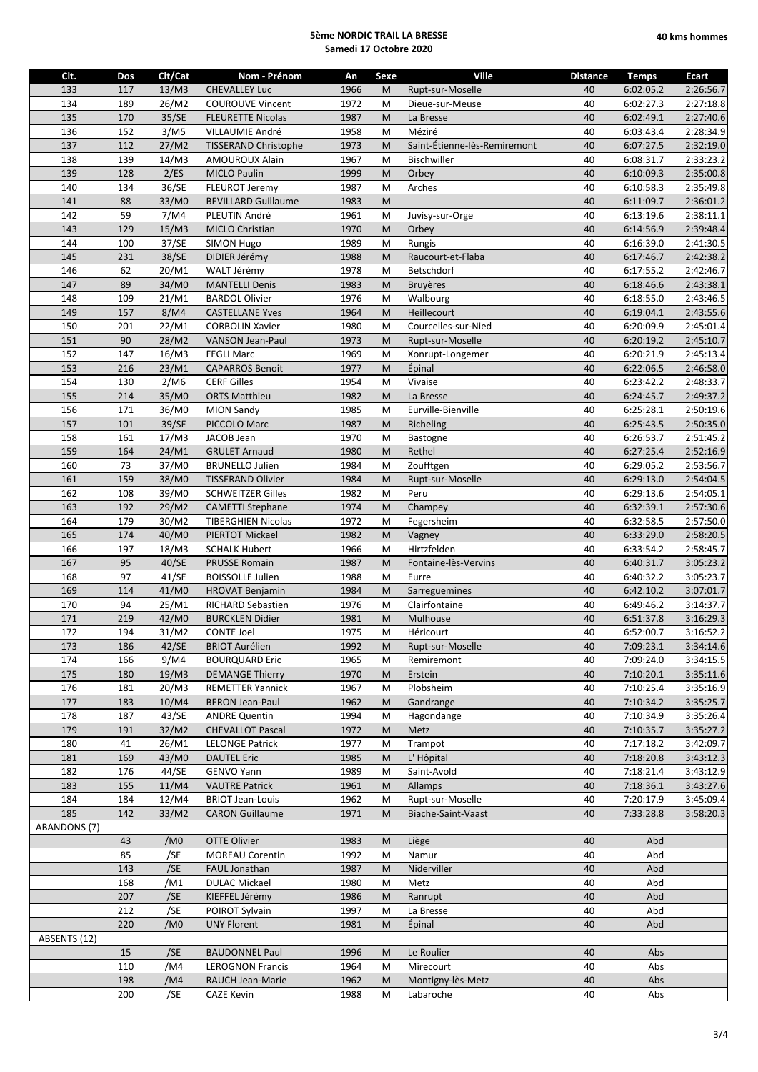| Clt.         | Dos       | Clt/Cat           | Nom - Prénom                | An           | Sexe | Ville                        | <b>Distance</b> | <b>Temps</b> | <b>Ecart</b> |
|--------------|-----------|-------------------|-----------------------------|--------------|------|------------------------------|-----------------|--------------|--------------|
| 133          | 117       | 13/M3             | <b>CHEVALLEY Luc</b>        | 1966         | M    | Rupt-sur-Moselle             | 40              | 6:02:05.2    | 2:26:56.7    |
| 134          | 189       | 26/M2             | <b>COUROUVE Vincent</b>     | 1972         | M    | Dieue-sur-Meuse              | 40              | 6:02:27.3    | 2:27:18.8    |
| 135          | 170       | 35/SE             | <b>FLEURETTE Nicolas</b>    | 1987         | M    | La Bresse                    | 40              | 6:02:49.1    | 2:27:40.6    |
| 136          | 152       | 3/M5              | VILLAUMIE André             | 1958         | M    | Méziré                       | 40              | 6:03:43.4    | 2:28:34.9    |
| 137          | 112       | 27/M2             | <b>TISSERAND Christophe</b> | 1973         | M    | Saint-Étienne-lès-Remiremont | 40              | 6:07:27.5    | 2:32:19.0    |
| 138          | 139       | 14/M3             | <b>AMOUROUX Alain</b>       | 1967         | M    | Bischwiller                  | 40              | 6:08:31.7    | 2:33:23.2    |
| 139          | 128       | 2/ES              | <b>MICLO Paulin</b>         | 1999         | M    | Orbey                        | 40              | 6:10:09.3    | 2:35:00.8    |
| 140          | 134       | 36/SE             | FLEUROT Jeremy              | 1987         | M    | Arches                       | 40              | 6:10:58.3    | 2:35:49.8    |
| 141          | 88        | 33/M0             | <b>BEVILLARD Guillaume</b>  | 1983         | M    |                              | 40              | 6:11:09.7    | 2:36:01.2    |
| 142          | 59        | 7/M4              | PLEUTIN André               | 1961         | M    | Juvisy-sur-Orge              | 40              | 6:13:19.6    | 2:38:11.1    |
| 143          | 129       | 15/M3             | MICLO Christian             | 1970         | M    | Orbey                        | 40              | 6:14:56.9    | 2:39:48.4    |
| 144          | 100       | 37/SE             | <b>SIMON Hugo</b>           | 1989         | M    | Rungis                       | 40              | 6:16:39.0    | 2:41:30.5    |
| 145          | 231       | 38/SE             | DIDIER Jérémy               | 1988         | M    | Raucourt-et-Flaba            | 40              | 6:17:46.7    | 2:42:38.2    |
| 146          | 62        | 20/M1             | WALT Jérémy                 | 1978         | M    | Betschdorf                   | 40              | 6:17:55.2    | 2:42:46.7    |
| 147          | 89        | 34/M0             | <b>MANTELLI Denis</b>       | 1983         | M    | <b>Bruyères</b>              | 40              | 6:18:46.6    | 2:43:38.1    |
| 148          | 109       | 21/M1             | <b>BARDOL Olivier</b>       | 1976         | M    | Walbourg                     | 40              | 6:18:55.0    | 2:43:46.5    |
| 149          | 157       | 8/M4              | <b>CASTELLANE Yves</b>      | 1964         | M    | Heillecourt                  | 40              | 6:19:04.1    | 2:43:55.6    |
| 150          | 201       | 22/M1             | <b>CORBOLIN Xavier</b>      | 1980         | M    | Courcelles-sur-Nied          | 40              | 6:20:09.9    | 2:45:01.4    |
| 151          | 90        | 28/M2             | <b>VANSON Jean-Paul</b>     | 1973         | M    | Rupt-sur-Moselle             | 40              | 6:20:19.2    | 2:45:10.7    |
| 152          | 147       | 16/M3             | <b>FEGLI Marc</b>           | 1969         | M    | Xonrupt-Longemer             | 40              | 6:20:21.9    | 2:45:13.4    |
| 153          | 216       | 23/M1             | <b>CAPARROS Benoit</b>      | 1977         | M    | Épinal                       | 40              | 6:22:06.5    | 2:46:58.0    |
| 154          | 130       | 2/M6              | <b>CERF Gilles</b>          | 1954         | M    | Vivaise                      | 40              | 6:23:42.2    | 2:48:33.7    |
| 155          | 214       | 35/M0             | <b>ORTS Matthieu</b>        | 1982         | M    | La Bresse                    | 40              | 6:24:45.7    | 2:49:37.2    |
| 156          | 171       | 36/M0             | <b>MION Sandy</b>           | 1985         | M    | Eurville-Bienville           | 40              | 6:25:28.1    | 2:50:19.6    |
| 157          | 101       | 39/SE             | PICCOLO Marc                | 1987         | M    | Richeling                    | 40              | 6:25:43.5    | 2:50:35.0    |
| 158          | 161       | 17/M3             | JACOB Jean                  | 1970         | M    | Bastogne                     | 40              | 6:26:53.7    | 2:51:45.2    |
| 159          | 164       | 24/M1             | <b>GRULET Arnaud</b>        | 1980         | M    | Rethel                       | 40              | 6:27:25.4    | 2:52:16.9    |
| 160          | 73        | 37/M0             | <b>BRUNELLO Julien</b>      | 1984         | M    | Zoufftgen                    | 40              | 6:29:05.2    | 2:53:56.7    |
| 161          | 159       | 38/M <sub>0</sub> | <b>TISSERAND Olivier</b>    | 1984         | M    | Rupt-sur-Moselle             | 40              | 6:29:13.0    | 2:54:04.5    |
| 162          | 108       | 39/M0             | <b>SCHWEITZER Gilles</b>    | 1982         | M    | Peru                         | 40              | 6:29:13.6    | 2:54:05.1    |
| 163          | 192       | 29/M2             | <b>CAMETTI Stephane</b>     | 1974         | M    | Champey                      | 40              | 6:32:39.1    | 2:57:30.6    |
| 164          | 179       | 30/M2             | <b>TIBERGHIEN Nicolas</b>   | 1972         | M    | Fegersheim                   | 40              | 6:32:58.5    | 2:57:50.0    |
| 165          | 174       | 40/M0             | PIERTOT Mickael             | 1982         | M    | Vagney                       | 40              | 6:33:29.0    | 2:58:20.5    |
| 166          | 197       | 18/M3             | <b>SCHALK Hubert</b>        | 1966         | M    | Hirtzfelden                  | 40              | 6:33:54.2    | 2:58:45.7    |
| 167          | 95        | 40/SE             | <b>PRUSSE Romain</b>        | 1987         | M    | Fontaine-lès-Vervins         | 40              | 6:40:31.7    | 3:05:23.2    |
| 168          | 97        | 41/SE             | <b>BOISSOLLE Julien</b>     | 1988         | M    | Eurre                        | 40              | 6:40:32.2    | 3:05:23.7    |
| 169          | 114       | 41/M0             | <b>HROVAT Benjamin</b>      | 1984         | M    | Sarreguemines                | 40              | 6:42:10.2    | 3:07:01.7    |
| 170          | 94        | 25/M1             | RICHARD Sebastien           | 1976         | M    | Clairfontaine                | 40              | 6:49:46.2    | 3:14:37.7    |
| 171          | 219       | 42/M0             | <b>BURCKLEN Didier</b>      | 1981         | M    | Mulhouse                     | 40              | 6:51:37.8    | 3:16:29.3    |
| 172          | 194       | 31/M2             | <b>CONTE Joel</b>           | 1975         | M    | Héricourt                    | 40              | 6:52:00.7    | 3:16:52.2    |
| 173          | 186       | 42/SE             | <b>BRIOT Aurélien</b>       | 1992         | M    | Rupt-sur-Moselle             | 40              | 7:09:23.1    | 3:34:14.6    |
| 174          | 166       | 9/M4              | <b>BOURQUARD Eric</b>       | 1965         | M    | Remiremont                   | 40              | 7:09:24.0    | 3:34:15.5    |
| 175          | 180       | 19/M3             | <b>DEMANGE Thierry</b>      | 1970         | M    | Erstein                      | 40              | 7:10:20.1    | 3:35:11.6    |
| 176          | 181       | 20/M3             | <b>REMETTER Yannick</b>     | 1967         | M    | Plobsheim                    | 40              | 7:10:25.4    | 3:35:16.9    |
| 177          | 183       | 10/M4             | <b>BERON Jean-Paul</b>      | 1962         | M    | Gandrange                    | 40              | 7:10:34.2    | 3:35:25.7    |
| 178          | 187       | 43/SE             | <b>ANDRE Quentin</b>        | 1994         | M    | Hagondange                   | 40              | 7:10:34.9    | 3:35:26.4    |
| 179          | 191       | 32/M2             | <b>CHEVALLOT Pascal</b>     | 1972         | M    | Metz                         | 40              | 7:10:35.7    | 3:35:27.2    |
| 180          | 41        | 26/M1             | <b>LELONGE Patrick</b>      | 1977         | M    | Trampot                      | 40              | 7:17:18.2    | 3:42:09.7    |
| 181          | 169       | 43/M0             | <b>DAUTEL Eric</b>          | 1985         | M    | L' Hôpital                   | 40              | 7:18:20.8    | 3:43:12.3    |
| 182          | 176       | 44/SE             | GENVO Yann                  | 1989         | M    | Saint-Avold                  | 40              | 7:18:21.4    | 3:43:12.9    |
| 183          | 155       | 11/M4             | <b>VAUTRE Patrick</b>       | 1961         | M    | Allamps                      | 40              | 7:18:36.1    | 3:43:27.6    |
| 184          | 184       | 12/M4             | <b>BRIOT Jean-Louis</b>     | 1962         | M    | Rupt-sur-Moselle             | 40              | 7:20:17.9    | 3:45:09.4    |
| 185          | 142       | 33/M2             | <b>CARON Guillaume</b>      | 1971         | M    | Biache-Saint-Vaast           | 40              | 7:33:28.8    | 3:58:20.3    |
| ABANDONS (7) |           |                   |                             |              |      |                              |                 |              |              |
|              | 43        | /M0               | <b>OTTE Olivier</b>         | 1983         | M    | Liège                        | 40              | Abd          |              |
|              | 85        | /SE               | <b>MOREAU Corentin</b>      | 1992         | M    | Namur                        | 40              | Abd          |              |
|              | 143       | /SE               | FAUL Jonathan               | 1987         | M    | Niderviller                  | 40              | Abd          |              |
|              | 168       | /M1               | <b>DULAC Mickael</b>        | 1980         | M    | Metz                         | 40              | Abd          |              |
|              | 207       | /SE               | KIEFFEL Jérémy              | 1986         | M    | Ranrupt                      | 40              | Abd          |              |
|              | 212       | /SE               | POIROT Sylvain              | 1997         | M    | La Bresse                    | 40              | Abd          |              |
|              | 220       | /M <sub>0</sub>   | <b>UNY Florent</b>          | 1981         | M    | Epinal                       | 40              | Abd          |              |
| ABSENTS (12) |           |                   |                             |              |      |                              |                 |              |              |
|              | 15<br>110 | /SE<br>/M4        | <b>BAUDONNEL Paul</b>       | 1996<br>1964 | M    | Le Roulier                   | 40              | Abs<br>Abs   |              |
|              |           |                   | <b>LEROGNON Francis</b>     |              | M    | Mirecourt                    | 40<br>40        | Abs          |              |
|              | 198       | /M4               | RAUCH Jean-Marie            | 1962         | M    | Montigny-lès-Metz            |                 |              |              |
|              | 200       | /SE               | <b>CAZE Kevin</b>           | 1988         | M    | Labaroche                    | 40              | Abs          |              |